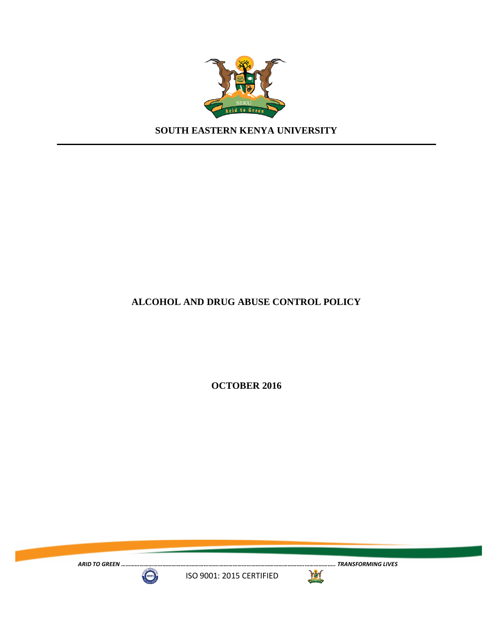

**SOUTH EASTERN KENYA UNIVERSITY**

### **ALCOHOL AND DRUG ABUSE CONTROL POLICY**

**OCTOBER 2016**

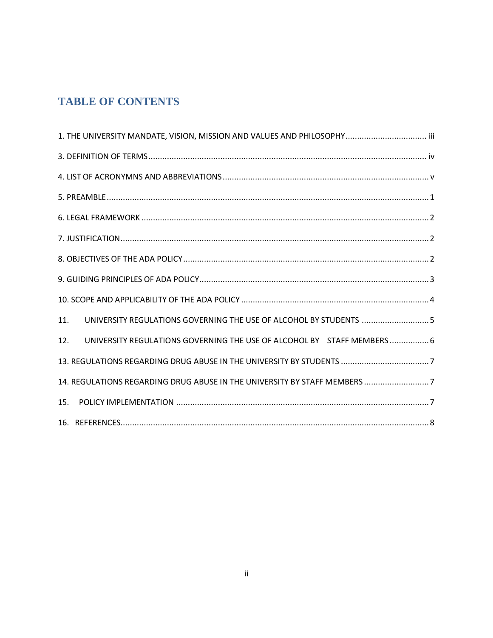# **TABLE OF CONTENTS**

<span id="page-1-0"></span>

| 1. THE UNIVERSITY MANDATE, VISION, MISSION AND VALUES AND PHILOSOPHY iii       |
|--------------------------------------------------------------------------------|
|                                                                                |
|                                                                                |
|                                                                                |
|                                                                                |
|                                                                                |
|                                                                                |
|                                                                                |
|                                                                                |
| UNIVERSITY REGULATIONS GOVERNING THE USE OF ALCOHOL BY STUDENTS  5<br>11.      |
| UNIVERSITY REGULATIONS GOVERNING THE USE OF ALCOHOL BY STAFF MEMBERS  6<br>12. |
|                                                                                |
| 14. REGULATIONS REGARDING DRUG ABUSE IN THE UNIVERSITY BY STAFF MEMBERS 7      |
| 15.                                                                            |
|                                                                                |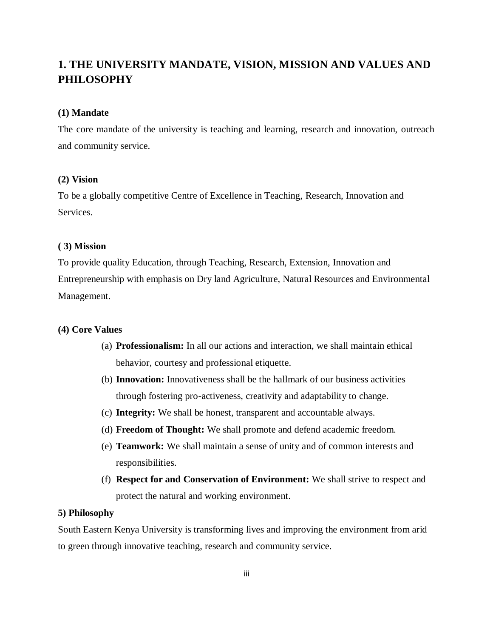## **1. THE UNIVERSITY MANDATE, VISION, MISSION AND VALUES AND PHILOSOPHY**

#### **(1) Mandate**

The core mandate of the university is teaching and learning, research and innovation, outreach and community service.

#### **(2) Vision**

To be a globally competitive Centre of Excellence in Teaching, Research, Innovation and Services.

#### **( 3) Mission**

To provide quality Education, through Teaching, Research, Extension, Innovation and Entrepreneurship with emphasis on Dry land Agriculture, Natural Resources and Environmental Management.

#### **(4) Core Values**

- (a) **Professionalism:** In all our actions and interaction, we shall maintain ethical behavior, courtesy and professional etiquette.
- (b) **Innovation:** Innovativeness shall be the hallmark of our business activities through fostering pro-activeness, creativity and adaptability to change.
- (c) **Integrity:** We shall be honest, transparent and accountable always.
- (d) **Freedom of Thought:** We shall promote and defend academic freedom.
- (e) **Teamwork:** We shall maintain a sense of unity and of common interests and responsibilities.
- (f) **Respect for and Conservation of Environment:** We shall strive to respect and protect the natural and working environment.

#### **5) Philosophy**

South Eastern Kenya University is transforming lives and improving the environment from arid to green through innovative teaching, research and community service.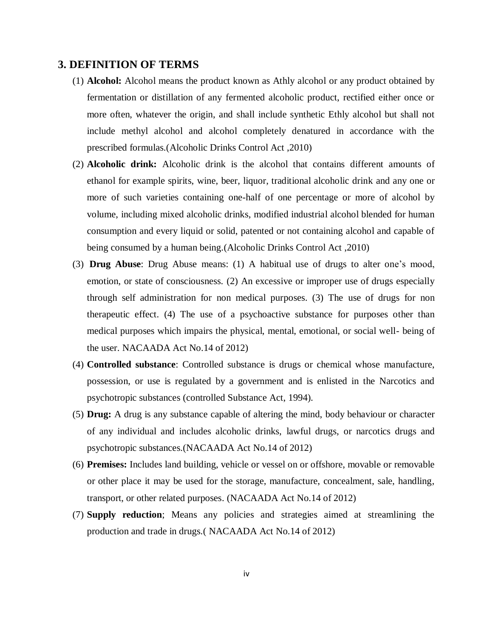### <span id="page-3-0"></span>**3. DEFINITION OF TERMS**

- (1) **Alcohol:** Alcohol means the product known as Athly alcohol or any product obtained by fermentation or distillation of any fermented alcoholic product, rectified either once or more often, whatever the origin, and shall include synthetic Ethly alcohol but shall not include methyl alcohol and alcohol completely denatured in accordance with the prescribed formulas.(Alcoholic Drinks Control Act ,2010)
- (2) **Alcoholic drink:** Alcoholic drink is the alcohol that contains different amounts of ethanol for example spirits, wine, beer, liquor, traditional alcoholic drink and any one or more of such varieties containing one-half of one percentage or more of alcohol by volume, including mixed alcoholic drinks, modified industrial alcohol blended for human consumption and every liquid or solid, patented or not containing alcohol and capable of being consumed by a human being.(Alcoholic Drinks Control Act ,2010)
- (3) **Drug Abuse**: Drug Abuse means: (1) A habitual use of drugs to alter one's mood, emotion, or state of consciousness. (2) An excessive or improper use of drugs especially through self administration for non medical purposes. (3) The use of drugs for non therapeutic effect. (4) The use of a psychoactive substance for purposes other than medical purposes which impairs the physical, mental, emotional, or social well- being of the user. NACAADA Act No.14 of 2012)
- (4) **Controlled substance**: Controlled substance is drugs or chemical whose manufacture, possession, or use is regulated by a government and is enlisted in the Narcotics and psychotropic substances (controlled Substance Act, 1994).
- (5) **Drug:** A drug is any substance capable of altering the mind, body behaviour or character of any individual and includes alcoholic drinks, lawful drugs, or narcotics drugs and psychotropic substances.(NACAADA Act No.14 of 2012)
- (6) **Premises:** Includes land building, vehicle or vessel on or offshore, movable or removable or other place it may be used for the storage, manufacture, concealment, sale, handling, transport, or other related purposes. (NACAADA Act No.14 of 2012)
- (7) **Supply reduction**; Means any policies and strategies aimed at streamlining the production and trade in drugs.( NACAADA Act No.14 of 2012)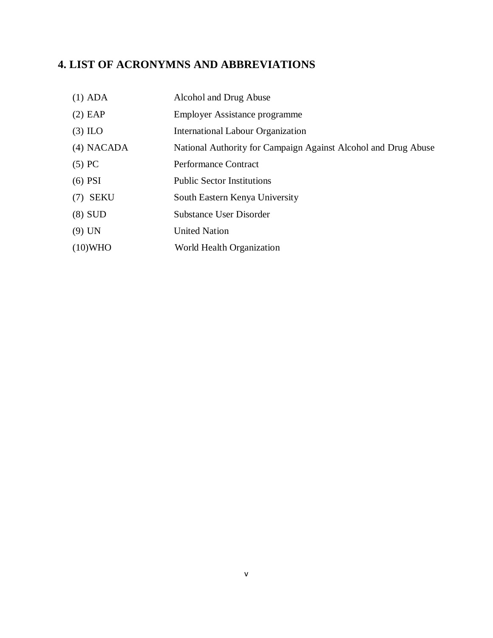# <span id="page-4-0"></span>**4. LIST OF ACRONYMNS AND ABBREVIATIONS**

| $(1)$ ADA    | Alcohol and Drug Abuse                                         |
|--------------|----------------------------------------------------------------|
| $(2)$ EAP    | Employer Assistance programme                                  |
| $(3)$ ILO    | <b>International Labour Organization</b>                       |
| $(4)$ NACADA | National Authority for Campaign Against Alcohol and Drug Abuse |
| $(5)$ PC     | <b>Performance Contract</b>                                    |
| $(6)$ PSI    | <b>Public Sector Institutions</b>                              |
| $(7)$ SEKU   | South Eastern Kenya University                                 |
| $(8)$ SUD    | <b>Substance User Disorder</b>                                 |
| $(9)$ UN     | <b>United Nation</b>                                           |
| $(10)$ WHO   | World Health Organization                                      |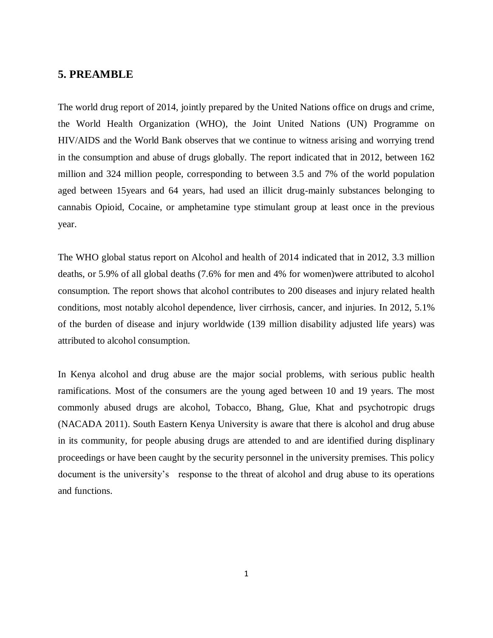### <span id="page-5-0"></span>**5. PREAMBLE**

The world drug report of 2014, jointly prepared by the United Nations office on drugs and crime, the World Health Organization (WHO), the Joint United Nations (UN) Programme on HIV/AIDS and the World Bank observes that we continue to witness arising and worrying trend in the consumption and abuse of drugs globally. The report indicated that in 2012, between 162 million and 324 million people, corresponding to between 3.5 and 7% of the world population aged between 15years and 64 years, had used an illicit drug-mainly substances belonging to cannabis Opioid, Cocaine, or amphetamine type stimulant group at least once in the previous year.

The WHO global status report on Alcohol and health of 2014 indicated that in 2012, 3.3 million deaths, or 5.9% of all global deaths (7.6% for men and 4% for women)were attributed to alcohol consumption. The report shows that alcohol contributes to 200 diseases and injury related health conditions, most notably alcohol dependence, liver cirrhosis, cancer, and injuries. In 2012, 5.1% of the burden of disease and injury worldwide (139 million disability adjusted life years) was attributed to alcohol consumption.

In Kenya alcohol and drug abuse are the major social problems, with serious public health ramifications. Most of the consumers are the young aged between 10 and 19 years. The most commonly abused drugs are alcohol, Tobacco, Bhang, Glue, Khat and psychotropic drugs (NACADA 2011). South Eastern Kenya University is aware that there is alcohol and drug abuse in its community, for people abusing drugs are attended to and are identified during displinary proceedings or have been caught by the security personnel in the university premises. This policy document is the university's response to the threat of alcohol and drug abuse to its operations and functions.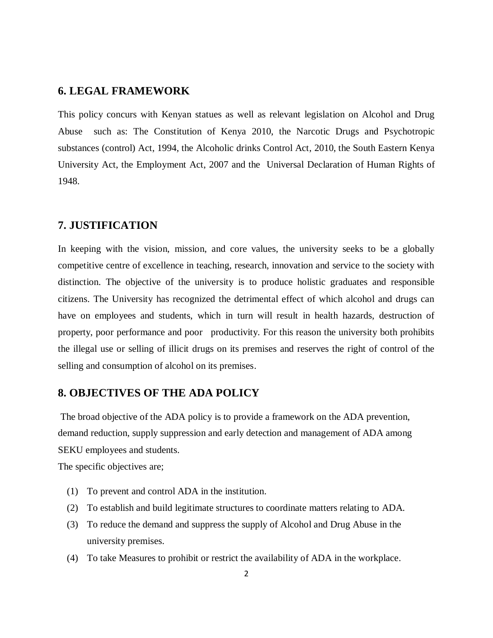### <span id="page-6-0"></span>**6. LEGAL FRAMEWORK**

This policy concurs with Kenyan statues as well as relevant legislation on Alcohol and Drug Abuse such as: The Constitution of Kenya 2010, the Narcotic Drugs and Psychotropic substances (control) Act, 1994, the Alcoholic drinks Control Act, 2010, the South Eastern Kenya University Act, the Employment Act, 2007 and the Universal Declaration of Human Rights of 1948.

### <span id="page-6-1"></span>**7. JUSTIFICATION**

In keeping with the vision, mission, and core values, the university seeks to be a globally competitive centre of excellence in teaching, research, innovation and service to the society with distinction. The objective of the university is to produce holistic graduates and responsible citizens. The University has recognized the detrimental effect of which alcohol and drugs can have on employees and students, which in turn will result in health hazards, destruction of property, poor performance and poor productivity. For this reason the university both prohibits the illegal use or selling of illicit drugs on its premises and reserves the right of control of the selling and consumption of alcohol on its premises.

#### <span id="page-6-2"></span>**8. OBJECTIVES OF THE ADA POLICY**

The broad objective of the ADA policy is to provide a framework on the ADA prevention, demand reduction, supply suppression and early detection and management of ADA among SEKU employees and students.

The specific objectives are;

- (1) To prevent and control ADA in the institution.
- (2) To establish and build legitimate structures to coordinate matters relating to ADA.
- (3) To reduce the demand and suppress the supply of Alcohol and Drug Abuse in the university premises.
- (4) To take Measures to prohibit or restrict the availability of ADA in the workplace.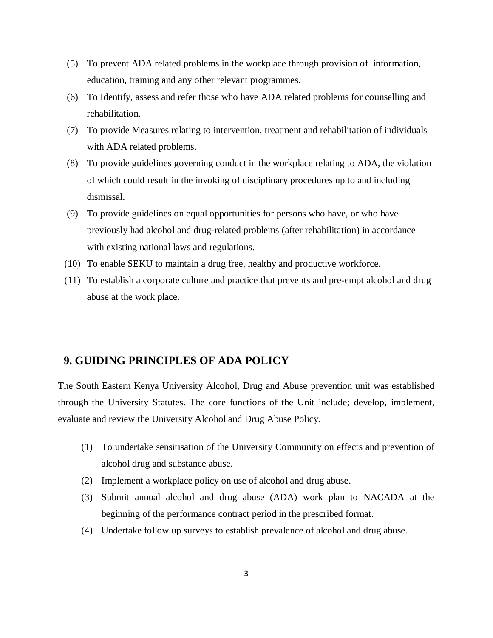- (5) To prevent ADA related problems in the workplace through provision of information, education, training and any other relevant programmes.
- (6) To Identify, assess and refer those who have ADA related problems for counselling and rehabilitation.
- (7) To provide Measures relating to intervention, treatment and rehabilitation of individuals with ADA related problems.
- (8) To provide guidelines governing conduct in the workplace relating to ADA, the violation of which could result in the invoking of disciplinary procedures up to and including dismissal.
- (9) To provide guidelines on equal opportunities for persons who have, or who have previously had alcohol and drug-related problems (after rehabilitation) in accordance with existing national laws and regulations.
- (10) To enable SEKU to maintain a drug free, healthy and productive workforce.
- (11) To establish a corporate culture and practice that prevents and pre-empt alcohol and drug abuse at the work place.

### <span id="page-7-0"></span> **9. GUIDING PRINCIPLES OF ADA POLICY**

The South Eastern Kenya University Alcohol, Drug and Abuse prevention unit was established through the University Statutes. The core functions of the Unit include; develop, implement, evaluate and review the University Alcohol and Drug Abuse Policy.

- (1) To undertake sensitisation of the University Community on effects and prevention of alcohol drug and substance abuse.
- (2) Implement a workplace policy on use of alcohol and drug abuse.
- (3) Submit annual alcohol and drug abuse (ADA) work plan to NACADA at the beginning of the performance contract period in the prescribed format.
- (4) Undertake follow up surveys to establish prevalence of alcohol and drug abuse.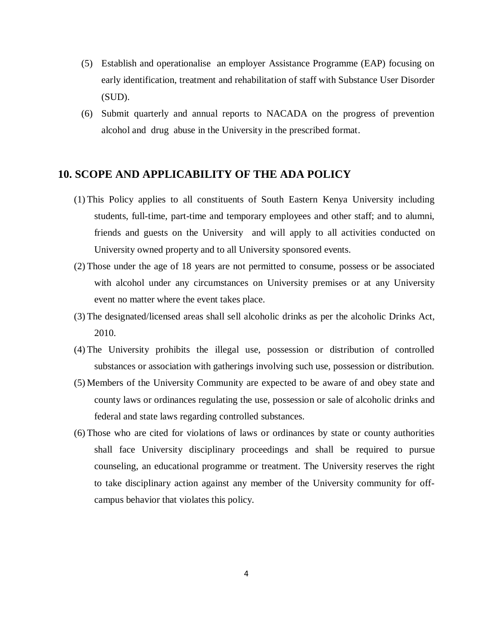- (5) Establish and operationalise an employer Assistance Programme (EAP) focusing on early identification, treatment and rehabilitation of staff with Substance User Disorder (SUD).
- (6) Submit quarterly and annual reports to NACADA on the progress of prevention alcohol and drug abuse in the University in the prescribed format.

### <span id="page-8-0"></span>**10. SCOPE AND APPLICABILITY OF THE ADA POLICY**

- (1) This Policy applies to all constituents of South Eastern Kenya University including students, full-time, part-time and temporary employees and other staff; and to alumni, friends and guests on the University and will apply to all activities conducted on University owned property and to all University sponsored events.
- (2) Those under the age of 18 years are not permitted to consume, possess or be associated with alcohol under any circumstances on University premises or at any University event no matter where the event takes place.
- (3) The designated/licensed areas shall sell alcoholic drinks as per the alcoholic Drinks Act, 2010.
- (4) The University prohibits the illegal use, possession or distribution of controlled substances or association with gatherings involving such use, possession or distribution.
- (5) Members of the University Community are expected to be aware of and obey state and county laws or ordinances regulating the use, possession or sale of alcoholic drinks and federal and state laws regarding controlled substances.
- (6) Those who are cited for violations of laws or ordinances by state or county authorities shall face University disciplinary proceedings and shall be required to pursue counseling, an educational programme or treatment. The University reserves the right to take disciplinary action against any member of the University community for offcampus behavior that violates this policy.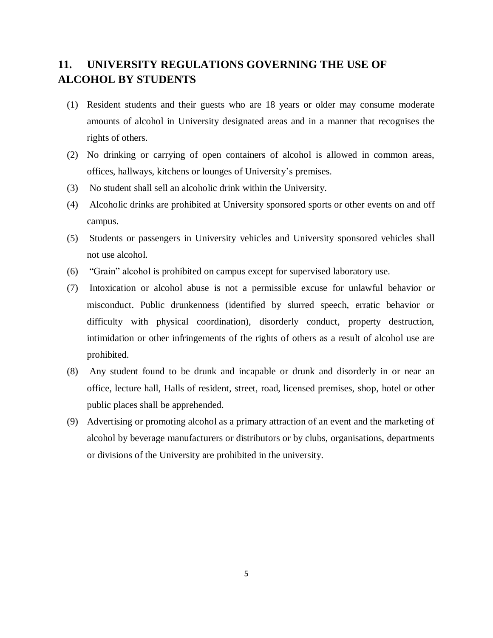## <span id="page-9-0"></span>**11. UNIVERSITY REGULATIONS GOVERNING THE USE OF ALCOHOL BY STUDENTS**

- (1) Resident students and their guests who are 18 years or older may consume moderate amounts of alcohol in University designated areas and in a manner that recognises the rights of others.
- (2) No drinking or carrying of open containers of alcohol is allowed in common areas, offices, hallways, kitchens or lounges of University's premises.
- (3) No student shall sell an alcoholic drink within the University.
- (4) Alcoholic drinks are prohibited at University sponsored sports or other events on and off campus.
- (5) Students or passengers in University vehicles and University sponsored vehicles shall not use alcohol.
- (6) "Grain" alcohol is prohibited on campus except for supervised laboratory use.
- (7) Intoxication or alcohol abuse is not a permissible excuse for unlawful behavior or misconduct. Public drunkenness (identified by slurred speech, erratic behavior or difficulty with physical coordination), disorderly conduct, property destruction, intimidation or other infringements of the rights of others as a result of alcohol use are prohibited.
- (8) Any student found to be drunk and incapable or drunk and disorderly in or near an office, lecture hall, Halls of resident, street, road, licensed premises, shop, hotel or other public places shall be apprehended.
- (9) Advertising or promoting alcohol as a primary attraction of an event and the marketing of alcohol by beverage manufacturers or distributors or by clubs, organisations, departments or divisions of the University are prohibited in the university.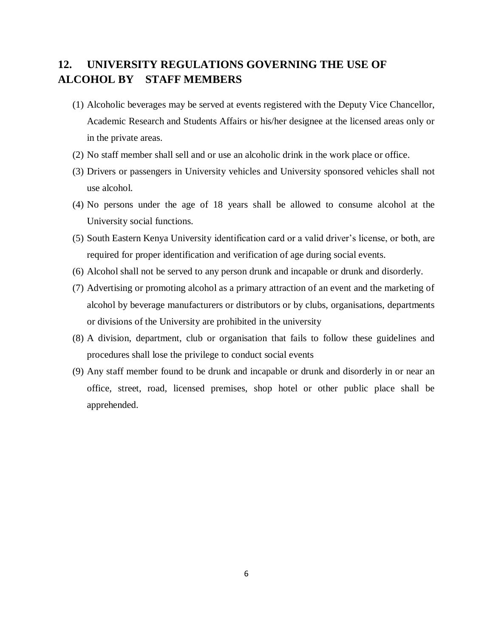## <span id="page-10-0"></span>**12. UNIVERSITY REGULATIONS GOVERNING THE USE OF ALCOHOL BY STAFF MEMBERS**

- (1) Alcoholic beverages may be served at events registered with the Deputy Vice Chancellor, Academic Research and Students Affairs or his/her designee at the licensed areas only or in the private areas.
- (2) No staff member shall sell and or use an alcoholic drink in the work place or office.
- (3) Drivers or passengers in University vehicles and University sponsored vehicles shall not use alcohol.
- (4) No persons under the age of 18 years shall be allowed to consume alcohol at the University social functions.
- (5) South Eastern Kenya University identification card or a valid driver's license, or both, are required for proper identification and verification of age during social events.
- (6) Alcohol shall not be served to any person drunk and incapable or drunk and disorderly.
- (7) Advertising or promoting alcohol as a primary attraction of an event and the marketing of alcohol by beverage manufacturers or distributors or by clubs, organisations, departments or divisions of the University are prohibited in the university
- (8) A division, department, club or organisation that fails to follow these guidelines and procedures shall lose the privilege to conduct social events
- (9) Any staff member found to be drunk and incapable or drunk and disorderly in or near an office, street, road, licensed premises, shop hotel or other public place shall be apprehended.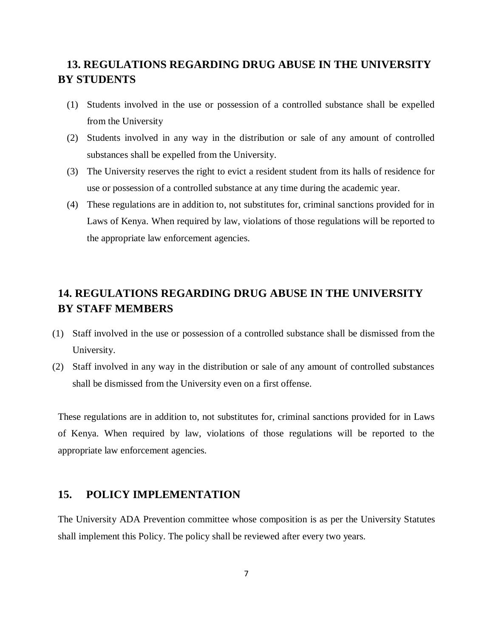## <span id="page-11-0"></span> **13. REGULATIONS REGARDING DRUG ABUSE IN THE UNIVERSITY BY STUDENTS**

- (1) Students involved in the use or possession of a controlled substance shall be expelled from the University
- (2) Students involved in any way in the distribution or sale of any amount of controlled substances shall be expelled from the University.
- (3) The University reserves the right to evict a resident student from its halls of residence for use or possession of a controlled substance at any time during the academic year.
- (4) These regulations are in addition to, not substitutes for, criminal sanctions provided for in Laws of Kenya. When required by law, violations of those regulations will be reported to the appropriate law enforcement agencies.

## <span id="page-11-1"></span>**14. REGULATIONS REGARDING DRUG ABUSE IN THE UNIVERSITY BY STAFF MEMBERS**

- (1) Staff involved in the use or possession of a controlled substance shall be dismissed from the University.
- (2) Staff involved in any way in the distribution or sale of any amount of controlled substances shall be dismissed from the University even on a first offense.

These regulations are in addition to, not substitutes for, criminal sanctions provided for in Laws of Kenya. When required by law, violations of those regulations will be reported to the appropriate law enforcement agencies.

### <span id="page-11-2"></span>**15. POLICY IMPLEMENTATION**

The University ADA Prevention committee whose composition is as per the University Statutes shall implement this Policy. The policy shall be reviewed after every two years.